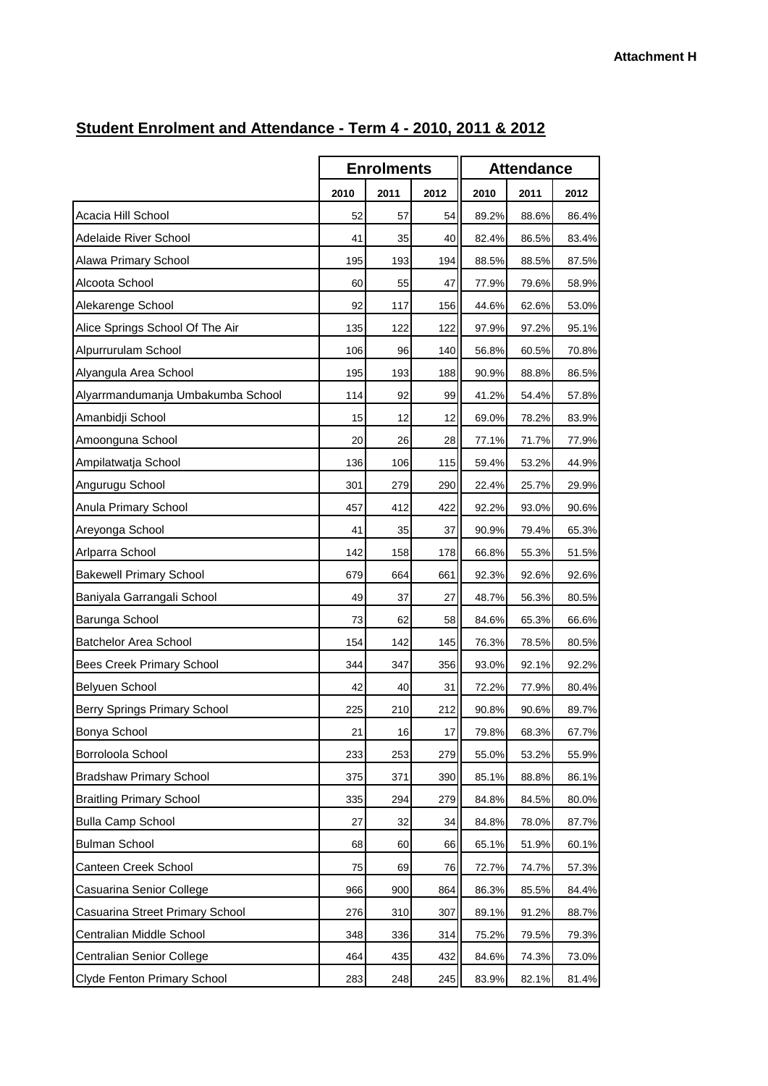|                                     | <b>Enrolments</b> |      | <b>Attendance</b> |       |       |       |
|-------------------------------------|-------------------|------|-------------------|-------|-------|-------|
|                                     | 2010              | 2011 | 2012              | 2010  | 2011  | 2012  |
| Acacia Hill School                  | 52                | 57   | 54                | 89.2% | 88.6% | 86.4% |
| Adelaide River School               | 41                | 35   | 40                | 82.4% | 86.5% | 83.4% |
| Alawa Primary School                | 195               | 193  | 194               | 88.5% | 88.5% | 87.5% |
| Alcoota School                      | 60                | 55   | 47                | 77.9% | 79.6% | 58.9% |
| Alekarenge School                   | 92                | 117  | 156               | 44.6% | 62.6% | 53.0% |
| Alice Springs School Of The Air     | 135               | 122  | 122               | 97.9% | 97.2% | 95.1% |
| Alpurrurulam School                 | 106               | 96   | 140               | 56.8% | 60.5% | 70.8% |
| Alyangula Area School               | 195               | 193  | 188               | 90.9% | 88.8% | 86.5% |
| Alyarrmandumanja Umbakumba School   | 114               | 92   | 99                | 41.2% | 54.4% | 57.8% |
| Amanbidji School                    | 15                | 12   | 12                | 69.0% | 78.2% | 83.9% |
| Amoonguna School                    | 20                | 26   | 28                | 77.1% | 71.7% | 77.9% |
| Ampilatwatja School                 | 136               | 106  | 115               | 59.4% | 53.2% | 44.9% |
| Angurugu School                     | 301               | 279  | 290               | 22.4% | 25.7% | 29.9% |
| Anula Primary School                | 457               | 412  | 422               | 92.2% | 93.0% | 90.6% |
| Areyonga School                     | 41                | 35   | 37                | 90.9% | 79.4% | 65.3% |
| Arlparra School                     | 142               | 158  | 178               | 66.8% | 55.3% | 51.5% |
| <b>Bakewell Primary School</b>      | 679               | 664  | 661               | 92.3% | 92.6% | 92.6% |
| Baniyala Garrangali School          | 49                | 37   | 27                | 48.7% | 56.3% | 80.5% |
| Barunga School                      | 73                | 62   | 58                | 84.6% | 65.3% | 66.6% |
| <b>Batchelor Area School</b>        | 154               | 142  | 145               | 76.3% | 78.5% | 80.5% |
| <b>Bees Creek Primary School</b>    | 344               | 347  | 356               | 93.0% | 92.1% | 92.2% |
| Belyuen School                      | 42                | 40   | 31                | 72.2% | 77.9% | 80.4% |
| <b>Berry Springs Primary School</b> | 225               | 210  | 212               | 90.8% | 90.6% | 89.7% |
| Bonya School                        | 21                | 16   | 17                | 79.8% | 68.3% | 67.7% |
| Borroloola School                   | 233               | 253  | 279               | 55.0% | 53.2% | 55.9% |
| <b>Bradshaw Primary School</b>      | 375               | 371  | 390               | 85.1% | 88.8% | 86.1% |
| <b>Braitling Primary School</b>     | 335               | 294  | 279               | 84.8% | 84.5% | 80.0% |
| <b>Bulla Camp School</b>            | 27                | 32   | 34                | 84.8% | 78.0% | 87.7% |
| <b>Bulman School</b>                | 68                | 60   | 66                | 65.1% | 51.9% | 60.1% |
| Canteen Creek School                | 75                | 69   | 76                | 72.7% | 74.7% | 57.3% |
| Casuarina Senior College            | 966               | 900  | 864               | 86.3% | 85.5% | 84.4% |
| Casuarina Street Primary School     | 276               | 310  | 307               | 89.1% | 91.2% | 88.7% |
| Centralian Middle School            | 348               | 336  | 314               | 75.2% | 79.5% | 79.3% |
| Centralian Senior College           | 464               | 435  | 432               | 84.6% | 74.3% | 73.0% |
| <b>Clyde Fenton Primary School</b>  | 283               | 248  | 245               | 83.9% | 82.1% | 81.4% |

## **Student Enrolment and Attendance - Term 4 - 2010, 2011 & 2012**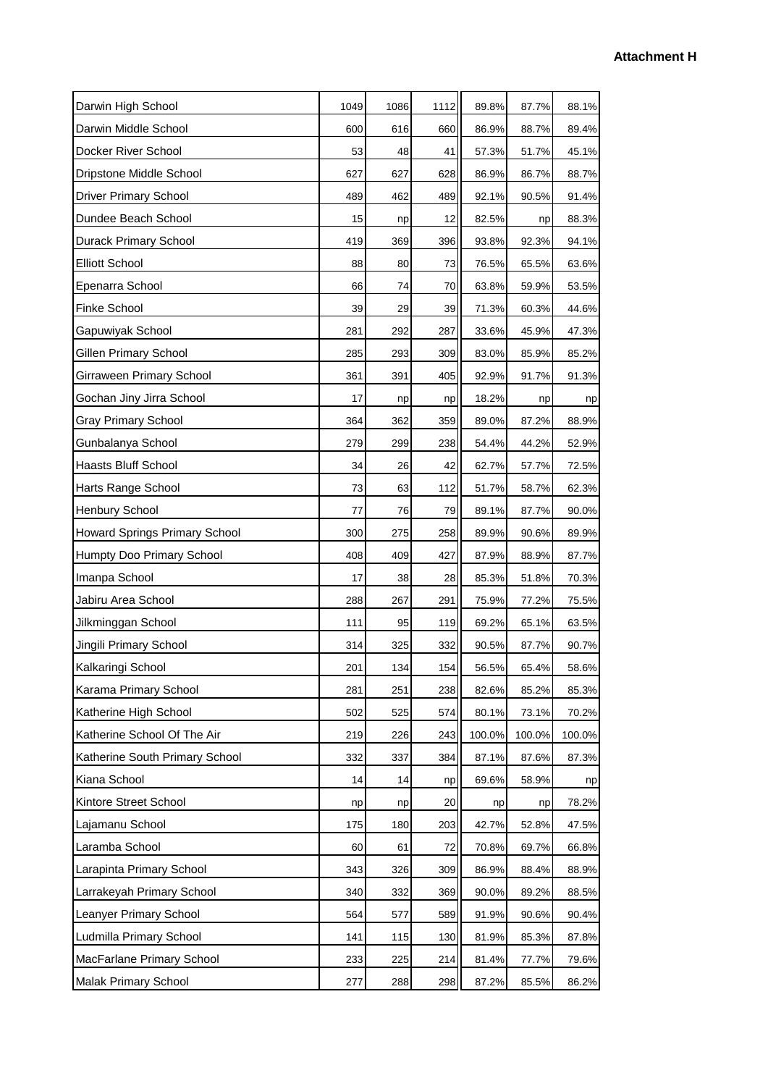| Darwin High School             | 1049 | 1086 | 1112 | 89.8%  | 87.7%  | 88.1%  |  |
|--------------------------------|------|------|------|--------|--------|--------|--|
| Darwin Middle School           | 600  | 616  | 660  | 86.9%  | 88.7%  | 89.4%  |  |
| Docker River School            | 53   | 48   | 41   | 57.3%  | 51.7%  | 45.1%  |  |
| Dripstone Middle School        | 627  | 627  | 628  | 86.9%  | 86.7%  | 88.7%  |  |
| <b>Driver Primary School</b>   | 489  | 462  | 489  | 92.1%  | 90.5%  | 91.4%  |  |
| Dundee Beach School            | 15   | np   | 12   | 82.5%  | np     | 88.3%  |  |
| <b>Durack Primary School</b>   | 419  | 369  | 396  | 93.8%  | 92.3%  | 94.1%  |  |
| <b>Elliott School</b>          | 88   | 80   | 73   | 76.5%  | 65.5%  | 63.6%  |  |
| Epenarra School                | 66   | 74   | 70   | 63.8%  | 59.9%  | 53.5%  |  |
| Finke School                   | 39   | 29   | 39   | 71.3%  | 60.3%  | 44.6%  |  |
| Gapuwiyak School               | 281  | 292  | 287  | 33.6%  | 45.9%  | 47.3%  |  |
| Gillen Primary School          | 285  | 293  | 309  | 83.0%  | 85.9%  | 85.2%  |  |
| Girraween Primary School       | 361  | 391  | 405  | 92.9%  | 91.7%  | 91.3%  |  |
| Gochan Jiny Jirra School       | 17   | np   | np   | 18.2%  | np     | np     |  |
| <b>Gray Primary School</b>     | 364  | 362  | 359  | 89.0%  | 87.2%  | 88.9%  |  |
| Gunbalanya School              | 279  | 299  | 238  | 54.4%  | 44.2%  | 52.9%  |  |
| Haasts Bluff School            | 34   | 26   | 42   | 62.7%  | 57.7%  | 72.5%  |  |
| Harts Range School             | 73   | 63   | 112  | 51.7%  | 58.7%  | 62.3%  |  |
| Henbury School                 | 77   | 76   | 79   | 89.1%  | 87.7%  | 90.0%  |  |
| Howard Springs Primary School  | 300  | 275  | 258  | 89.9%  | 90.6%  | 89.9%  |  |
| Humpty Doo Primary School      | 408  | 409  | 427  | 87.9%  | 88.9%  | 87.7%  |  |
| Imanpa School                  | 17   | 38   | 28   | 85.3%  | 51.8%  | 70.3%  |  |
| Jabiru Area School             | 288  | 267  | 291  | 75.9%  | 77.2%  | 75.5%  |  |
| Jilkminggan School             | 111  | 95   | 119  | 69.2%  | 65.1%  | 63.5%  |  |
| Jingili Primary School         | 314  | 325  | 332  | 90.5%  | 87.7%  | 90.7%  |  |
| Kalkaringi School              | 201  | 134  | 154  | 56.5%  | 65.4%  | 58.6%  |  |
| Karama Primary School          | 281  | 251  | 238  | 82.6%  | 85.2%  | 85.3%  |  |
| Katherine High School          | 502  | 525  | 574  | 80.1%  | 73.1%  | 70.2%  |  |
| Katherine School Of The Air    | 219  | 226  | 243  | 100.0% | 100.0% | 100.0% |  |
| Katherine South Primary School | 332  | 337  | 384  | 87.1%  | 87.6%  | 87.3%  |  |
| Kiana School                   | 14   | 14   | np   | 69.6%  | 58.9%  | np     |  |
| Kintore Street School          | np   | np   | 20   | np     | np     | 78.2%  |  |
| Lajamanu School                | 175  | 180  | 203  | 42.7%  | 52.8%  | 47.5%  |  |
| Laramba School                 | 60   | 61   | 72   | 70.8%  | 69.7%  | 66.8%  |  |
| Larapinta Primary School       | 343  | 326  | 309  | 86.9%  | 88.4%  | 88.9%  |  |
| Larrakeyah Primary School      | 340  | 332  | 369  | 90.0%  | 89.2%  | 88.5%  |  |
| Leanyer Primary School         | 564  | 577  | 589  | 91.9%  | 90.6%  | 90.4%  |  |
| Ludmilla Primary School        | 141  | 115  | 130  | 81.9%  | 85.3%  | 87.8%  |  |
| MacFarlane Primary School      | 233  | 225  | 214  | 81.4%  | 77.7%  | 79.6%  |  |
| Malak Primary School           | 277  | 288  | 298  | 87.2%  | 85.5%  | 86.2%  |  |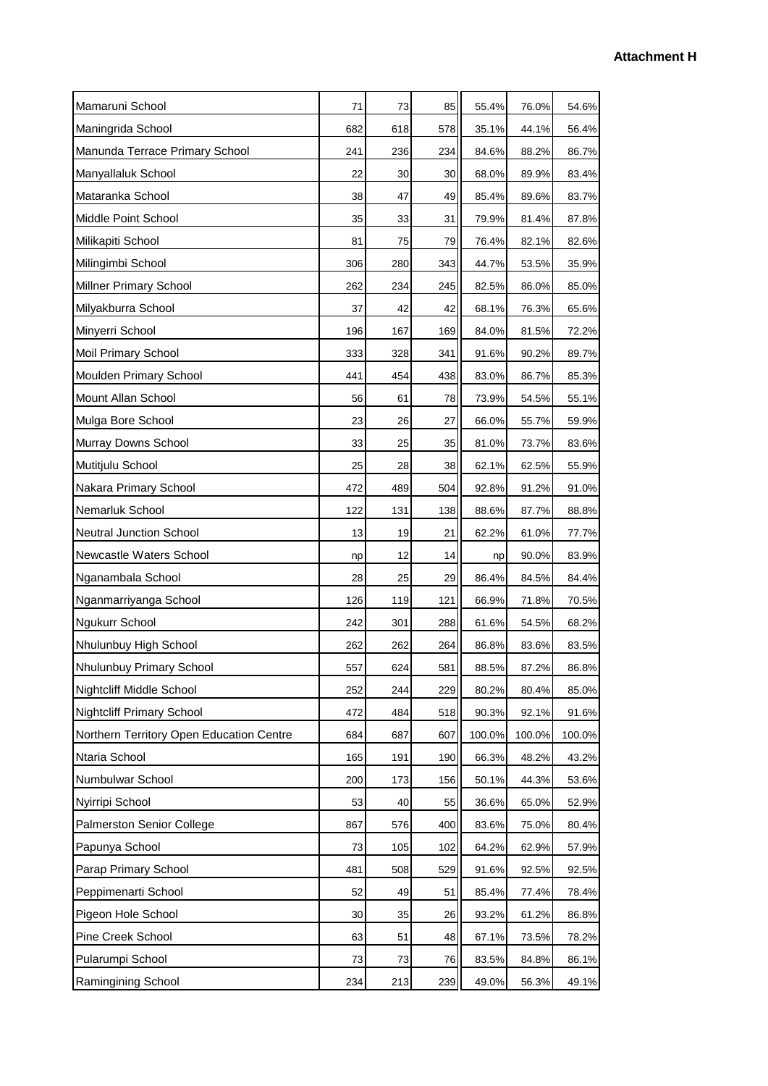| Mamaruni School                          | 71     | 73  | 85  | 55.4%  | 76.0%  | 54.6%  |
|------------------------------------------|--------|-----|-----|--------|--------|--------|
| Maningrida School                        | 682    | 618 | 578 | 35.1%  | 44.1%  | 56.4%  |
| Manunda Terrace Primary School           | 241    | 236 | 234 | 84.6%  | 88.2%  | 86.7%  |
| Manyallaluk School                       | 22     | 30  | 30  | 68.0%  | 89.9%  | 83.4%  |
| Mataranka School                         | 38     | 47  | 49  | 85.4%  | 89.6%  | 83.7%  |
| Middle Point School                      | 35     | 33  | 31  | 79.9%  | 81.4%  | 87.8%  |
| Milikapiti School                        | 81     | 75  | 79  | 76.4%  | 82.1%  | 82.6%  |
| Milingimbi School                        | 306    | 280 | 343 | 44.7%  | 53.5%  | 35.9%  |
| <b>Millner Primary School</b>            | 262    | 234 | 245 | 82.5%  | 86.0%  | 85.0%  |
| Milyakburra School                       | 37     | 42  | 42  | 68.1%  | 76.3%  | 65.6%  |
| Minyerri School                          | 196    | 167 | 169 | 84.0%  | 81.5%  | 72.2%  |
| <b>Moil Primary School</b>               | 333    | 328 | 341 | 91.6%  | 90.2%  | 89.7%  |
| Moulden Primary School                   | 441    | 454 | 438 | 83.0%  | 86.7%  | 85.3%  |
| Mount Allan School                       | 56     | 61  | 78  | 73.9%  | 54.5%  | 55.1%  |
| Mulga Bore School                        | 23     | 26  | 27  | 66.0%  | 55.7%  | 59.9%  |
| Murray Downs School                      | 33     | 25  | 35  | 81.0%  | 73.7%  | 83.6%  |
| Mutitjulu School                         | 25     | 28  | 38  | 62.1%  | 62.5%  | 55.9%  |
| Nakara Primary School                    | 472    | 489 | 504 | 92.8%  | 91.2%  | 91.0%  |
| Nemarluk School                          | 122    | 131 | 138 | 88.6%  | 87.7%  | 88.8%  |
| <b>Neutral Junction School</b>           | 13     | 19  | 21  | 62.2%  | 61.0%  | 77.7%  |
| Newcastle Waters School                  | np     | 12  | 14  | np     | 90.0%  | 83.9%  |
| Nganambala School                        | 28     | 25  | 29  | 86.4%  | 84.5%  | 84.4%  |
| Nganmarriyanga School                    | 126    | 119 | 121 | 66.9%  | 71.8%  | 70.5%  |
| Ngukurr School                           | 242    | 301 | 288 | 61.6%  | 54.5%  | 68.2%  |
| Nhulunbuy High School                    | 262    | 262 | 264 | 86.8%  | 83.6%  | 83.5%  |
| Nhulunbuy Primary School                 | 557    | 624 | 581 | 88.5%  | 87.2%  | 86.8%  |
| Nightcliff Middle School                 | 252    | 244 | 229 | 80.2%  | 80.4%  | 85.0%  |
| <b>Nightcliff Primary School</b>         | 472    | 484 | 518 | 90.3%  | 92.1%  | 91.6%  |
| Northern Territory Open Education Centre | 684    | 687 | 607 | 100.0% | 100.0% | 100.0% |
| Ntaria School                            | 165    | 191 | 190 | 66.3%  | 48.2%  | 43.2%  |
| Numbulwar School                         | 200    | 173 | 156 | 50.1%  | 44.3%  | 53.6%  |
| Nyirripi School                          | 53     | 40  | 55  | 36.6%  | 65.0%  | 52.9%  |
| <b>Palmerston Senior College</b>         | 867    | 576 | 400 | 83.6%  | 75.0%  | 80.4%  |
| Papunya School                           | 73     | 105 | 102 | 64.2%  | 62.9%  | 57.9%  |
| Parap Primary School                     | 481    | 508 | 529 | 91.6%  | 92.5%  | 92.5%  |
| Peppimenarti School                      | 52     | 49  | 51  | 85.4%  | 77.4%  | 78.4%  |
| Pigeon Hole School                       | $30\,$ | 35  | 26  | 93.2%  | 61.2%  | 86.8%  |
| Pine Creek School                        | 63     | 51  | 48  | 67.1%  | 73.5%  | 78.2%  |
| Pularumpi School                         | 73     | 73  | 76  | 83.5%  | 84.8%  | 86.1%  |
| Ramingining School                       | 234    | 213 | 239 | 49.0%  | 56.3%  | 49.1%  |
|                                          |        |     |     |        |        |        |